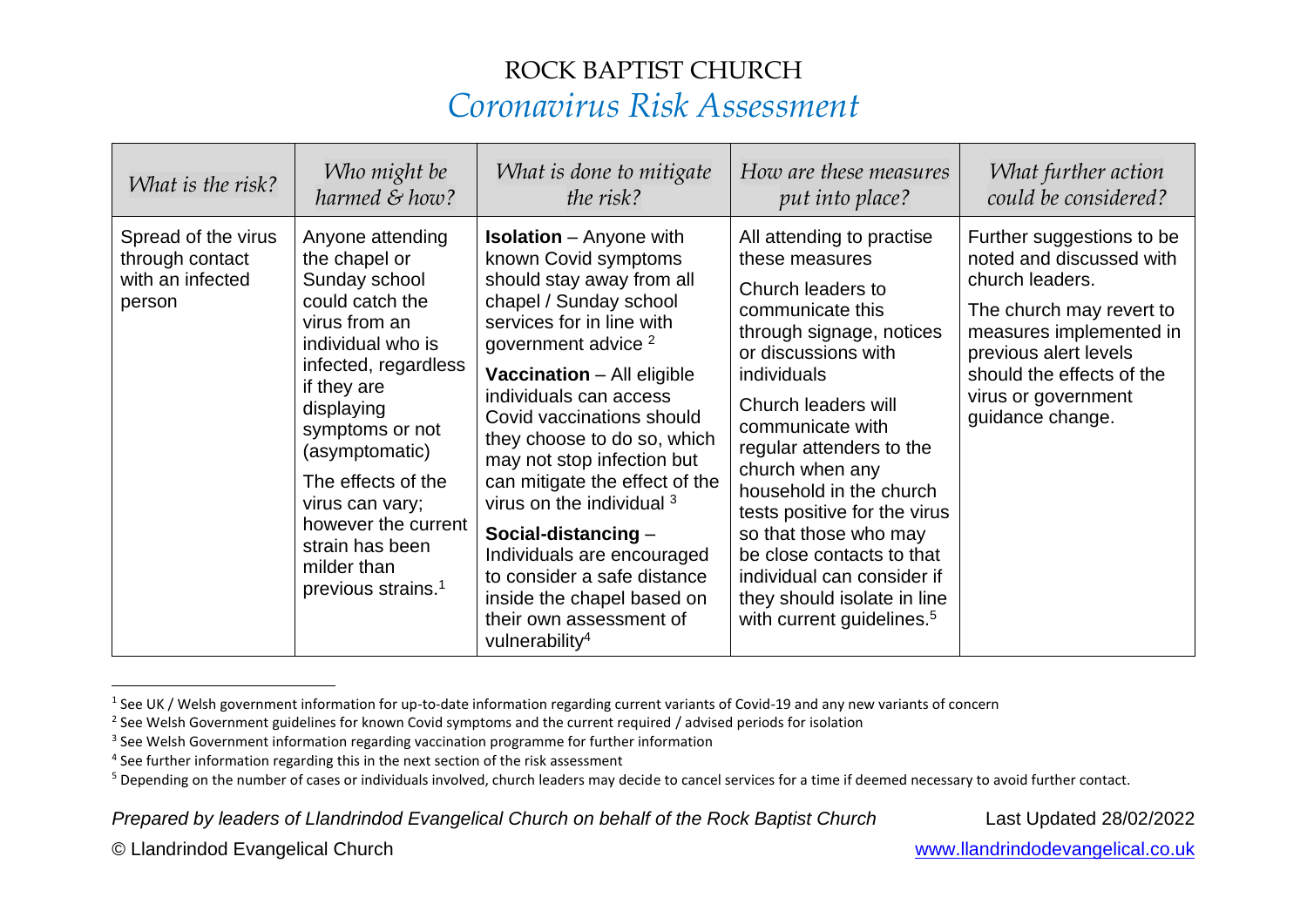| What is the risk?                                                    | Who might be                                                                                                                                                                                                                                                                                                                              | What is done to mitigate                                                                                                                                                                                                                                                                                                                                                                                                                                                                                                                                                          | How are these measures                                                                                                                                                                                                                                                                                                                                                                                                                                                  | What further action                                                                                                                                                                                                              |
|----------------------------------------------------------------------|-------------------------------------------------------------------------------------------------------------------------------------------------------------------------------------------------------------------------------------------------------------------------------------------------------------------------------------------|-----------------------------------------------------------------------------------------------------------------------------------------------------------------------------------------------------------------------------------------------------------------------------------------------------------------------------------------------------------------------------------------------------------------------------------------------------------------------------------------------------------------------------------------------------------------------------------|-------------------------------------------------------------------------------------------------------------------------------------------------------------------------------------------------------------------------------------------------------------------------------------------------------------------------------------------------------------------------------------------------------------------------------------------------------------------------|----------------------------------------------------------------------------------------------------------------------------------------------------------------------------------------------------------------------------------|
|                                                                      | harmed & how?                                                                                                                                                                                                                                                                                                                             | the risk?                                                                                                                                                                                                                                                                                                                                                                                                                                                                                                                                                                         | put into place?                                                                                                                                                                                                                                                                                                                                                                                                                                                         | could be considered?                                                                                                                                                                                                             |
| Spread of the virus<br>through contact<br>with an infected<br>person | Anyone attending<br>the chapel or<br>Sunday school<br>could catch the<br>virus from an<br>individual who is<br>infected, regardless<br>if they are<br>displaying<br>symptoms or not<br>(asymptomatic)<br>The effects of the<br>virus can vary;<br>however the current<br>strain has been<br>milder than<br>previous strains. <sup>1</sup> | <b>Isolation</b> – Anyone with<br>known Covid symptoms<br>should stay away from all<br>chapel / Sunday school<br>services for in line with<br>government advice <sup>2</sup><br><b>Vaccination</b> - All eligible<br>individuals can access<br>Covid vaccinations should<br>they choose to do so, which<br>may not stop infection but<br>can mitigate the effect of the<br>virus on the individual 3<br>Social-distancing $-$<br>Individuals are encouraged<br>to consider a safe distance<br>inside the chapel based on<br>their own assessment of<br>vulnerability <sup>4</sup> | All attending to practise<br>these measures<br>Church leaders to<br>communicate this<br>through signage, notices<br>or discussions with<br>individuals<br>Church leaders will<br>communicate with<br>regular attenders to the<br>church when any<br>household in the church<br>tests positive for the virus<br>so that those who may<br>be close contacts to that<br>individual can consider if<br>they should isolate in line<br>with current guidelines. <sup>5</sup> | Further suggestions to be<br>noted and discussed with<br>church leaders.<br>The church may revert to<br>measures implemented in<br>previous alert levels<br>should the effects of the<br>virus or government<br>guidance change. |

<sup>&</sup>lt;sup>1</sup> See UK / Welsh government information for up-to-date information regarding current variants of Covid-19 and any new variants of concern

*Prepared by leaders of Llandrindod Evangelical Church on behalf of the Rock Baptist Church* Last Updated 28/02/2022

 $^2$  See Welsh Government guidelines for known Covid symptoms and the current required / advised periods for isolation

<sup>&</sup>lt;sup>3</sup> See Welsh Government information regarding vaccination programme for further information

<sup>&</sup>lt;sup>4</sup> See further information regarding this in the next section of the risk assessment

<sup>&</sup>lt;sup>5</sup> Depending on the number of cases or individuals involved, church leaders may decide to cancel services for a time if deemed necessary to avoid further contact.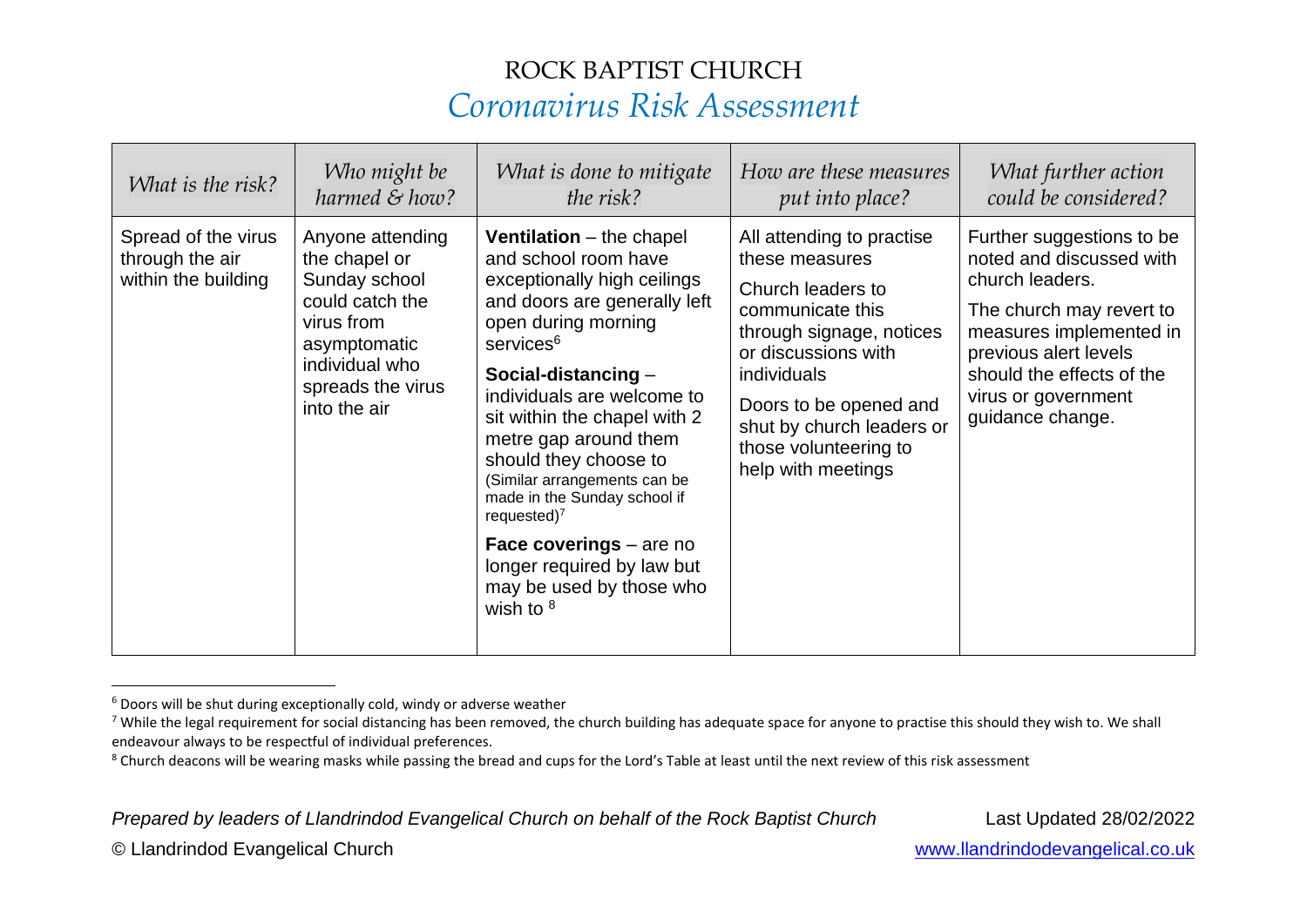| What is the risk?                                             | Who might be                                                                                                                                               | What is done to mitigate                                                                                                                                                                                                                                                                                                                                                                                                                                                                                     | How are these measures                                                                                                                                                                                                                                       | What further action                                                                                                                                                                                                              |
|---------------------------------------------------------------|------------------------------------------------------------------------------------------------------------------------------------------------------------|--------------------------------------------------------------------------------------------------------------------------------------------------------------------------------------------------------------------------------------------------------------------------------------------------------------------------------------------------------------------------------------------------------------------------------------------------------------------------------------------------------------|--------------------------------------------------------------------------------------------------------------------------------------------------------------------------------------------------------------------------------------------------------------|----------------------------------------------------------------------------------------------------------------------------------------------------------------------------------------------------------------------------------|
|                                                               | harmed & how?                                                                                                                                              | the risk?                                                                                                                                                                                                                                                                                                                                                                                                                                                                                                    | put into place?                                                                                                                                                                                                                                              | could be considered?                                                                                                                                                                                                             |
| Spread of the virus<br>through the air<br>within the building | Anyone attending<br>the chapel or<br>Sunday school<br>could catch the<br>virus from<br>asymptomatic<br>individual who<br>spreads the virus<br>into the air | <b>Ventilation</b> – the chapel<br>and school room have<br>exceptionally high ceilings<br>and doors are generally left<br>open during morning<br>services <sup>6</sup><br>Social-distancing $-$<br>individuals are welcome to<br>sit within the chapel with 2<br>metre gap around them<br>should they choose to<br>(Similar arrangements can be<br>made in the Sunday school if<br>requested) $7$<br><b>Face coverings</b> – are no<br>longer required by law but<br>may be used by those who<br>wish to $8$ | All attending to practise<br>these measures<br>Church leaders to<br>communicate this<br>through signage, notices<br>or discussions with<br>individuals<br>Doors to be opened and<br>shut by church leaders or<br>those volunteering to<br>help with meetings | Further suggestions to be<br>noted and discussed with<br>church leaders.<br>The church may revert to<br>measures implemented in<br>previous alert levels<br>should the effects of the<br>virus or government<br>guidance change. |

 $6$  Doors will be shut during exceptionally cold, windy or adverse weather

*Prepared by leaders of Llandrindod Evangelical Church on behalf of the Rock Baptist Church* Last Updated 28/02/2022

<sup>&</sup>lt;sup>7</sup> While the legal requirement for social distancing has been removed, the church building has adequate space for anyone to practise this should they wish to. We shall endeavour always to be respectful of individual preferences.

<sup>&</sup>lt;sup>8</sup> Church deacons will be wearing masks while passing the bread and cups for the Lord's Table at least until the next review of this risk assessment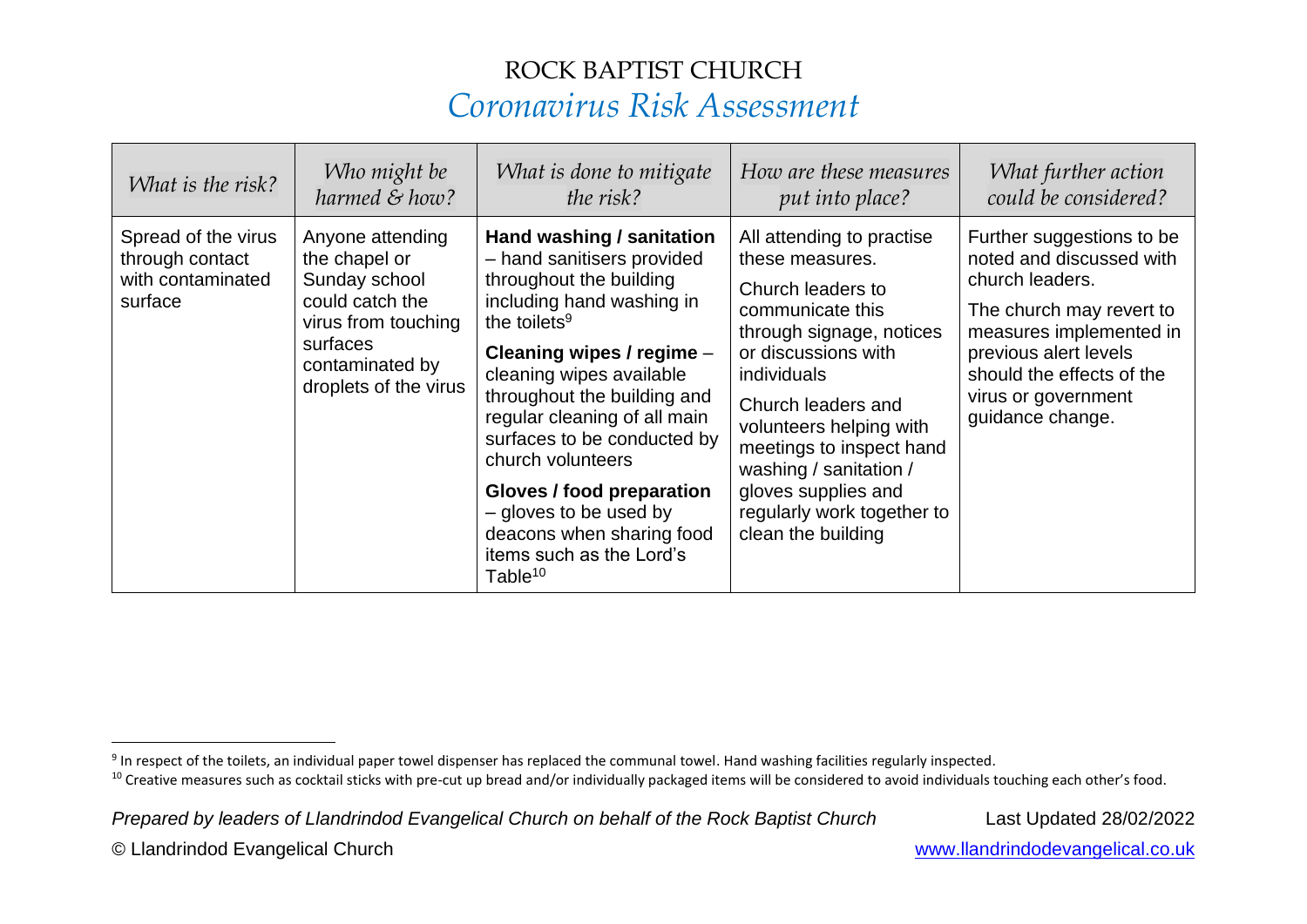| What is the risk?                                                      | Who might be                                                                                                                                         | What is done to mitigate                                                                                                                                                                                                                                                                                                                                                                                                                              | How are these measures                                                                                                                                                                                                                                                                                                                    | What further action                                                                                                                                                                                                              |
|------------------------------------------------------------------------|------------------------------------------------------------------------------------------------------------------------------------------------------|-------------------------------------------------------------------------------------------------------------------------------------------------------------------------------------------------------------------------------------------------------------------------------------------------------------------------------------------------------------------------------------------------------------------------------------------------------|-------------------------------------------------------------------------------------------------------------------------------------------------------------------------------------------------------------------------------------------------------------------------------------------------------------------------------------------|----------------------------------------------------------------------------------------------------------------------------------------------------------------------------------------------------------------------------------|
|                                                                        | harmed & how?                                                                                                                                        | the risk?                                                                                                                                                                                                                                                                                                                                                                                                                                             | put into place?                                                                                                                                                                                                                                                                                                                           | could be considered?                                                                                                                                                                                                             |
| Spread of the virus<br>through contact<br>with contaminated<br>surface | Anyone attending<br>the chapel or<br>Sunday school<br>could catch the<br>virus from touching<br>surfaces<br>contaminated by<br>droplets of the virus | Hand washing / sanitation<br>- hand sanitisers provided<br>throughout the building<br>including hand washing in<br>the toilets $9$<br>Cleaning wipes / regime -<br>cleaning wipes available<br>throughout the building and<br>regular cleaning of all main<br>surfaces to be conducted by<br>church volunteers<br>Gloves / food preparation<br>- gloves to be used by<br>deacons when sharing food<br>items such as the Lord's<br>Table <sup>10</sup> | All attending to practise<br>these measures.<br>Church leaders to<br>communicate this<br>through signage, notices<br>or discussions with<br>individuals<br>Church leaders and<br>volunteers helping with<br>meetings to inspect hand<br>washing / sanitation /<br>gloves supplies and<br>regularly work together to<br>clean the building | Further suggestions to be<br>noted and discussed with<br>church leaders.<br>The church may revert to<br>measures implemented in<br>previous alert levels<br>should the effects of the<br>virus or government<br>guidance change. |

*Prepared by leaders of Llandrindod Evangelical Church on behalf of the Rock Baptist Church* Last Updated 28/02/2022

 $9$  In respect of the toilets, an individual paper towel dispenser has replaced the communal towel. Hand washing facilities regularly inspected.

<sup>&</sup>lt;sup>10</sup> Creative measures such as cocktail sticks with pre-cut up bread and/or individually packaged items will be considered to avoid individuals touching each other's food.